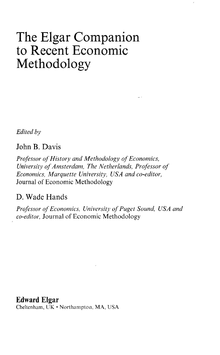## The Elgar Companion to Recent Economic Methodology

*Edited by*

## John B. Davis

*Professor of History and Methodology of Economics, University of Amsterdam, The Netherlands, Professor of Economics, Marquette University, USA and co-editor,* Journal of Economic Methodology

## D. Wade Hands

Professor of Economics, University of Puget Sound, USA and *co-editor,* Journal of Economic Methodology

Edward Elgar

Cheltenham, UK • Northampton, MA, USA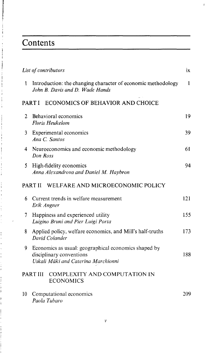## Contents

Í

|              | List of contributors                                                                                                    | ix  |
|--------------|-------------------------------------------------------------------------------------------------------------------------|-----|
| $\mathbf{1}$ | Introduction: the changing character of economic methodology<br>John B. Davis and D. Wade Hands                         | 1   |
|              | ECONOMICS OF BEHAVIOR AND CHOICE<br><b>PARTI</b>                                                                        |     |
| 2            | Behavioral economics<br><b>Floris Heukelom</b>                                                                          | 19  |
| 3            | Experimental economics<br>Ana C. Santos                                                                                 | 39  |
| 4            | Neuroeconomics and economic methodology<br>Don Ross                                                                     | 61  |
| 5            | High-fidelity economics<br>Anna Alexandrova and Daniel M. Haybron                                                       | 94  |
|              | WELFARE AND MICROECONOMIC POLICY<br>PART II                                                                             |     |
| 6            | Current trends in welfare measurement<br>Erik Angner                                                                    | 121 |
| 7            | Happiness and experienced utility<br>Luigino Bruni and Pier Luigi Porta                                                 | 155 |
| 8            | Applied policy, welfare economics, and Mill's half-truths<br>David Colander                                             | 173 |
| 9            | Economics as usual: geographical economics shaped by<br>disciplinary conventions<br>Uskali Mäki and Caterina Marchionni | 188 |
|              | COMPLEXITY AND COMPUTATION IN<br>PART III<br><b>ECONOMICS</b>                                                           |     |
| 10           | Computational economics<br>Paola Tubaro                                                                                 | 209 |

b.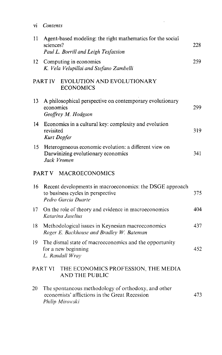vi *Contents*

| 11 | Agent-based modeling: the right mathematics for the social<br>sciences?<br>Paul L. Borrill and Leigh Tesfatsion          | 228 |
|----|--------------------------------------------------------------------------------------------------------------------------|-----|
| 12 | Computing in economics<br>K. Vela Velupillai and Stefano Zambelli                                                        | 259 |
|    | EVOLUTION AND EVOLUTIONARY<br>PART IV<br><b>ECONOMICS</b>                                                                |     |
| 13 | A philosophical perspective on contemporary evolutionary<br>economics<br>Geoffrey M. Hodgson                             | 299 |
| 14 | Economics in a cultural key: complexity and evolution<br>revisited<br>Kurt Dopfer                                        | 319 |
| 15 | Heterogeneous economic evolution: a different view on<br>Darwinizing evolutionary economics<br>Jack Vromen               | 341 |
|    | PART V MACROECONOMICS                                                                                                    |     |
| 16 | Recent developments in macroeconomics: the DSGE approach<br>to business cycles in perspective<br>Pedro Garcia Duarte     | 375 |
| 17 | On the role of theory and evidence in macroeconomics<br>Katarina Juselius                                                | 404 |
| 18 | Methodological issues in Keynesian macroeconomics<br>Roger E. Backhouse and Bradley W. Bateman                           | 437 |
| 19 | The dismal state of macroeconomics and the opportunity<br>for a new beginning<br>L. Randall Wray                         | 452 |
|    | THE ECONOMICS PROFESSION, THE MEDIA<br>PART VI<br><b>AND THE PUBLIC</b>                                                  |     |
| 20 | The spontaneous methodology of orthodoxy, and other<br>economists' afflictions in the Great Recession<br>Philip Mirowski | 473 |

 $\mathcal{L}_{\text{max}}$  and  $\mathcal{L}_{\text{max}}$  . The  $\mathcal{L}_{\text{max}}$